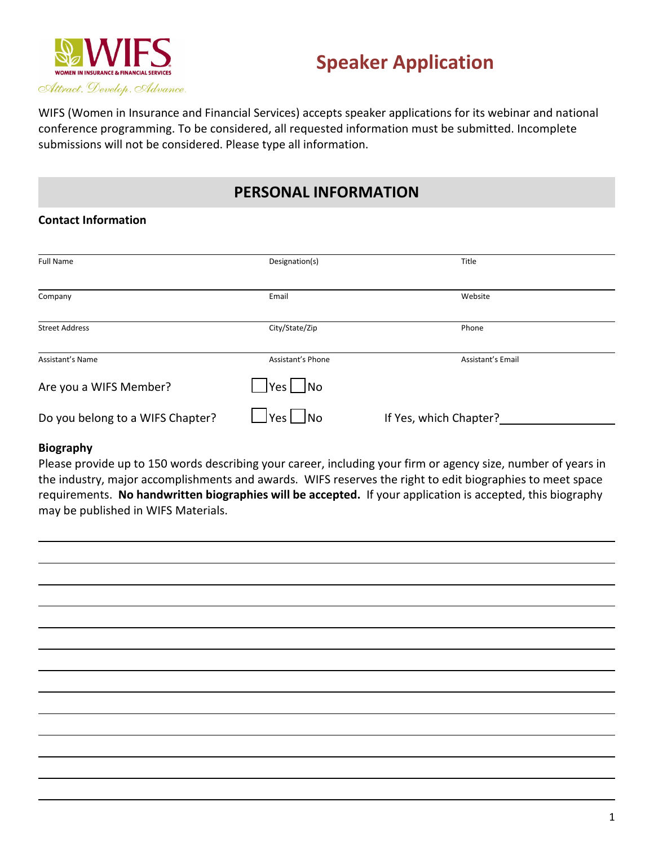

# **Speaker Application**

WIFS (Women in Insurance and Financial Services) accepts speaker applications for its webinar and national conference programming. To be considered, all requested information must be submitted. Incomplete submissions will not be considered. Please type all information.

# **PERSONAL INFORMATION**

### **Contact Information**

| <b>Full Name</b>                 | Designation(s)          | Title                  |
|----------------------------------|-------------------------|------------------------|
|                                  |                         |                        |
| Company                          | Email                   | Website                |
| <b>Street Address</b>            | City/State/Zip          | Phone                  |
| Assistant's Name                 | Assistant's Phone       | Assistant's Email      |
| Are you a WIFS Member?           | $\vert$ Yes $\vert$  No |                        |
| Do you belong to a WIFS Chapter? | Yes  <br> No            | If Yes, which Chapter? |

#### **Biography**

Please provide up to 150 words describing your career, including your firm or agency size, number of years in the industry, major accomplishments and awards. WIFS reserves the right to edit biographies to meet space requirements. **No handwritten biographies will be accepted.** If your application is accepted, this biography may be published in WIFS Materials.

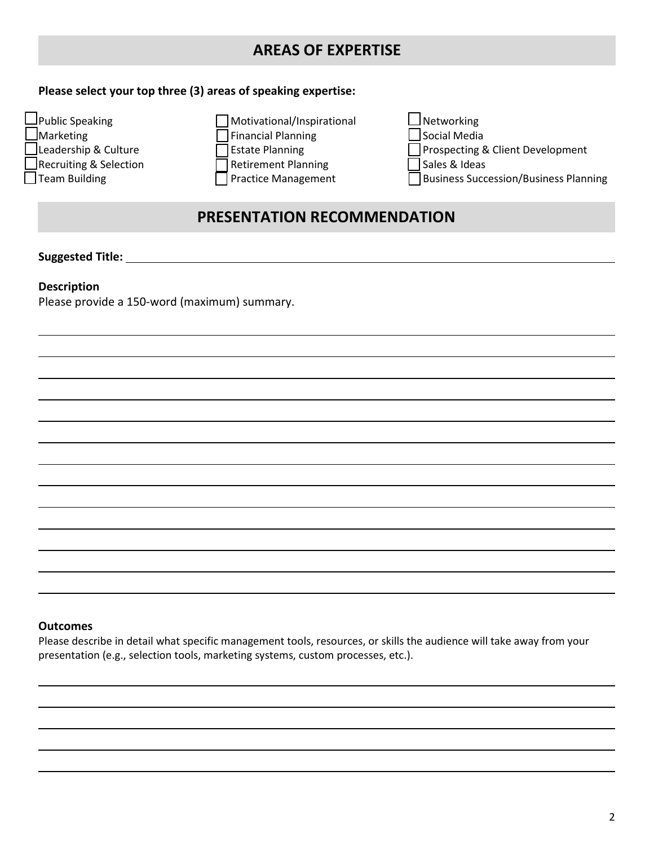# **AREAS OF EXPERTISE**

### **Please select your top three (3) areas of speaking expertise:**



# **PRESENTATION RECOMMENDATION**

**Suggested Title:** 

#### **Description**

Please provide a 150-word (maximum) summary.

#### **Outcomes**

Please describe in detail what specific management tools, resources, or skills the audience will take away from your presentation (e.g., selection tools, marketing systems, custom processes, etc.).